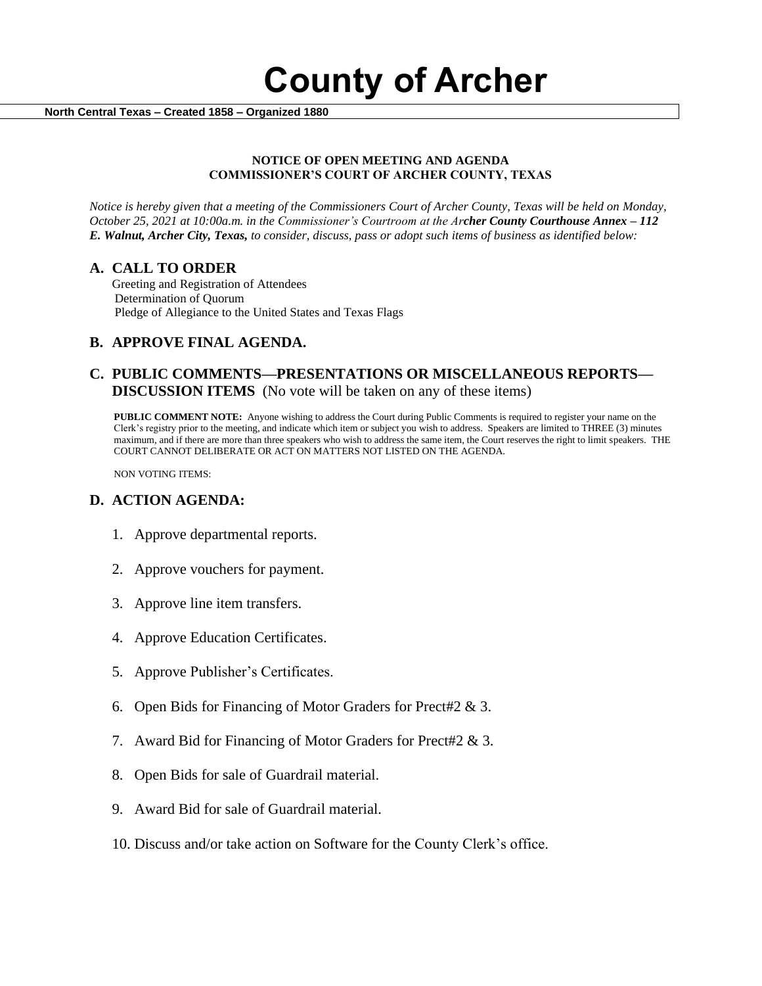**County of Archer** 

 **North Central Texas – Created 1858 – Organized 1880**

#### **NOTICE OF OPEN MEETING AND AGENDA COMMISSIONER'S COURT OF ARCHER COUNTY, TEXAS**

*Notice is hereby given that a meeting of the Commissioners Court of Archer County, Texas will be held on Monday, October 25, 2021 at 10:00a.m. in the Commissioner's Courtroom at the Archer County Courthouse Annex – 112 E. Walnut, Archer City, Texas, to consider, discuss, pass or adopt such items of business as identified below:*

#### **A. CALL TO ORDER**

 Greeting and Registration of Attendees Determination of Quorum Pledge of Allegiance to the United States and Texas Flags

### **B. APPROVE FINAL AGENDA.**

### **C. PUBLIC COMMENTS—PRESENTATIONS OR MISCELLANEOUS REPORTS— DISCUSSION ITEMS** (No vote will be taken on any of these items)

**PUBLIC COMMENT NOTE:** Anyone wishing to address the Court during Public Comments is required to register your name on the Clerk's registry prior to the meeting, and indicate which item or subject you wish to address. Speakers are limited to THREE (3) minutes maximum, and if there are more than three speakers who wish to address the same item, the Court reserves the right to limit speakers. THE COURT CANNOT DELIBERATE OR ACT ON MATTERS NOT LISTED ON THE AGENDA.

NON VOTING ITEMS:

### **D. ACTION AGENDA:**

- 1. Approve departmental reports.
- 2. Approve vouchers for payment.
- 3. Approve line item transfers.
- 4. Approve Education Certificates.
- 5. Approve Publisher's Certificates.
- 6. Open Bids for Financing of Motor Graders for Prect#2 & 3.
- 7. Award Bid for Financing of Motor Graders for Prect#2 & 3.
- 8. Open Bids for sale of Guardrail material.
- 9. Award Bid for sale of Guardrail material.
- 10. Discuss and/or take action on Software for the County Clerk's office.